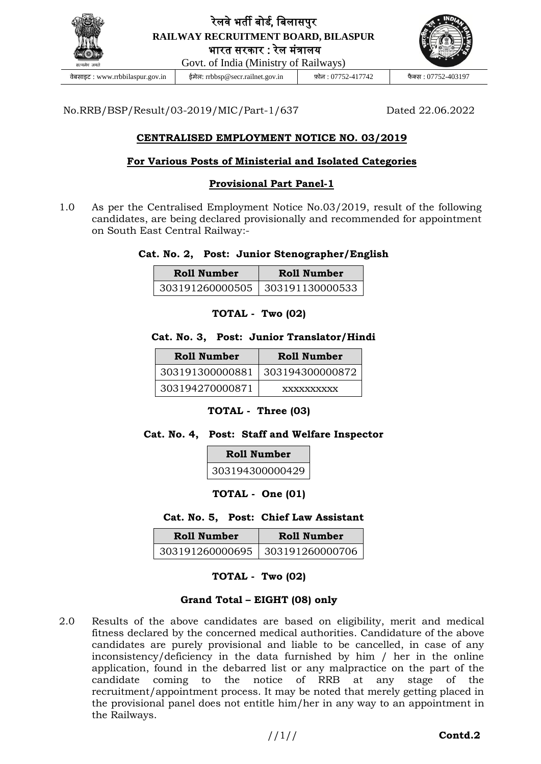

# रेलवे भर्ती बोर्ड, बिलासपुर **RAILWAY RECRUITMENT BOARD, BILASPUR** भारर्त सरकार : रेल मंत्रालय

Govt. of India (Ministry of Railways)

वेबसाइट : www.rrbbilaspur.gov.in ईमेल: rrbbsp@secr.railnet.gov.in फ़ोन : 07752-417742 फै क्स : 07752-403197

No.RRB/BSP/Result/03-2019/MIC/Part-1/637 Dated 22.06.2022

## **CENTRALISED EMPLOYMENT NOTICE NO. 03/2019**

## **For Various Posts of Ministerial and Isolated Categories**

### **Provisional Part Panel-1**

1.0 As per the Centralised Employment Notice No.03/2019, result of the following candidates, are being declared provisionally and recommended for appointment on South East Central Railway:-

#### **Cat. No. 2, Post: Junior Stenographer/English**

| Roll Number                     | Roll Number |  |  |
|---------------------------------|-------------|--|--|
| 303191260000505 303191130000533 |             |  |  |

#### **TOTAL - Two (02)**

#### **Cat. No. 3, Post: Junior Translator/Hindi**

| Roll Number     | Roll Number       |  |  |  |
|-----------------|-------------------|--|--|--|
| 303191300000881 | 303194300000872   |  |  |  |
| 303194270000871 | <b>XXXXXXXXXX</b> |  |  |  |

**TOTAL - Three (03)**

## **Cat. No. 4, Post: Staff and Welfare Inspector**

| Roll Number     |
|-----------------|
| 303194300000429 |

**TOTAL - One (01)**

#### **Cat. No. 5, Post: Chief Law Assistant**

| Roll Number | Roll Number                       |
|-------------|-----------------------------------|
|             | 303191260000695   303191260000706 |

## **TOTAL - Two (02)**

## **Grand Total – EIGHT (08) only**

2.0 Results of the above candidates are based on eligibility, merit and medical fitness declared by the concerned medical authorities. Candidature of the above candidates are purely provisional and liable to be cancelled, in case of any inconsistency/deficiency in the data furnished by him / her in the online application, found in the debarred list or any malpractice on the part of the candidate coming to the notice of RRB at any stage of the recruitment/appointment process. It may be noted that merely getting placed in the provisional panel does not entitle him/her in any way to an appointment in the Railways.